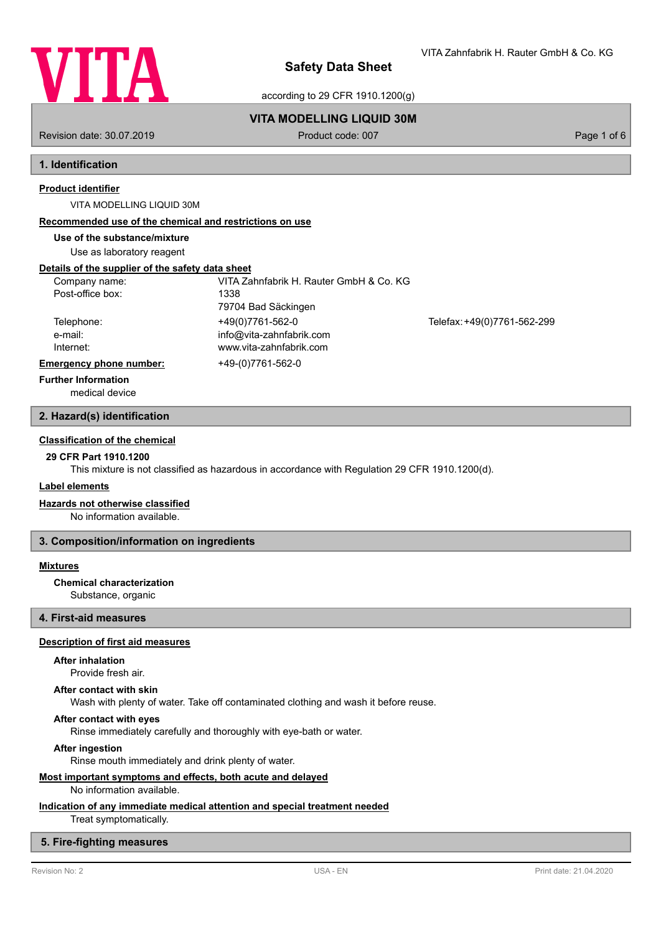

VITA Zahnfabrik H. Rauter GmbH & Co. KG

according to 29 CFR 1910.1200(g)

# **VITA MODELLING LIQUID 30M**

Revision date: 30.07.2019 **Product code: 007** Product code: 007 **Page 1 of 6** Page 1 of 6

# **1. Identification**

### **Product identifier**

VITA MODELLING LIQUID 30M

### **Recommended use of the chemical and restrictions on use**

**Use of the substance/mixture**

Use as laboratory reagent

# **Details of the supplier of the safety data sheet**

| Company name:                  | VITA Zahnfabrik H. Rauter GmbH & Co. KG |                             |
|--------------------------------|-----------------------------------------|-----------------------------|
| Post-office box:               | 1338                                    |                             |
|                                | 79704 Bad Säckingen                     |                             |
| Telephone:                     | +49(0)7761-562-0                        | Telefax: +49(0)7761-562-299 |
| e-mail:                        | info@vita-zahnfabrik.com                |                             |
| Internet:                      | www.vita-zahnfabrik.com                 |                             |
| <b>Emergency phone number:</b> | +49-(0)7761-562-0                       |                             |
| <b>Further Information</b>     |                                         |                             |

medical device

### **2. Hazard(s) identification**

# **Classification of the chemical**

# **29 CFR Part 1910.1200**

This mixture is not classified as hazardous in accordance with Regulation 29 CFR 1910.1200(d).

### **Label elements**

### **Hazards not otherwise classified**

No information available.

### **3. Composition/information on ingredients**

### **Mixtures**

**Chemical characterization**

Substance, organic

# **4. First-aid measures**

### **Description of first aid measures**

### **After inhalation**

Provide fresh air.

#### **After contact with skin**

Wash with plenty of water. Take off contaminated clothing and wash it before reuse.

### **After contact with eyes**

Rinse immediately carefully and thoroughly with eye-bath or water.

#### **After ingestion**

Rinse mouth immediately and drink plenty of water.

# **Most important symptoms and effects, both acute and delayed**

No information available.

# **Indication of any immediate medical attention and special treatment needed**

Treat symptomatically.

# **5. Fire-fighting measures**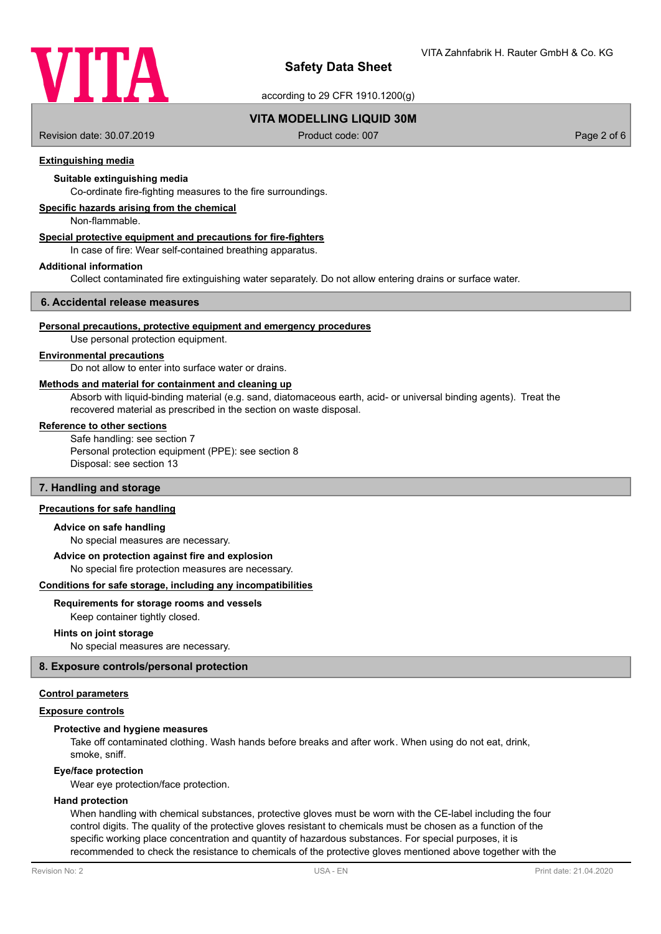

according to 29 CFR 1910.1200(g)

# **VITA MODELLING LIQUID 30M**

Revision date: 30.07.2019 **Product code: 007** Product code: 007 **Page 2 of 6** Page 2 of 6

### **Extinguishing media**

# **Suitable extinguishing media**

Co-ordinate fire-fighting measures to the fire surroundings.

### **Specific hazards arising from the chemical**

Non-flammable.

# **Special protective equipment and precautions for fire-fighters**

In case of fire: Wear self-contained breathing apparatus.

#### **Additional information**

Collect contaminated fire extinguishing water separately. Do not allow entering drains or surface water.

#### **6. Accidental release measures**

#### **Personal precautions, protective equipment and emergency procedures**

Use personal protection equipment.

#### **Environmental precautions**

Do not allow to enter into surface water or drains.

# **Methods and material for containment and cleaning up**

Absorb with liquid-binding material (e.g. sand, diatomaceous earth, acid- or universal binding agents). Treat the recovered material as prescribed in the section on waste disposal.

### **Reference to other sections**

Safe handling: see section 7 Personal protection equipment (PPE): see section 8 Disposal: see section 13

### **7. Handling and storage**

# **Precautions for safe handling**

### **Advice on safe handling**

No special measures are necessary.

#### **Advice on protection against fire and explosion**

No special fire protection measures are necessary.

#### **Conditions for safe storage, including any incompatibilities**

### **Requirements for storage rooms and vessels**

Keep container tightly closed.

### **Hints on joint storage**

No special measures are necessary.

### **8. Exposure controls/personal protection**

#### **Control parameters**

#### **Exposure controls**

# **Protective and hygiene measures**

Take off contaminated clothing. Wash hands before breaks and after work. When using do not eat, drink, smoke, sniff.

#### **Eye/face protection**

Wear eye protection/face protection.

### **Hand protection**

When handling with chemical substances, protective gloves must be worn with the CE-label including the four control digits. The quality of the protective gloves resistant to chemicals must be chosen as a function of the specific working place concentration and quantity of hazardous substances. For special purposes, it is recommended to check the resistance to chemicals of the protective gloves mentioned above together with the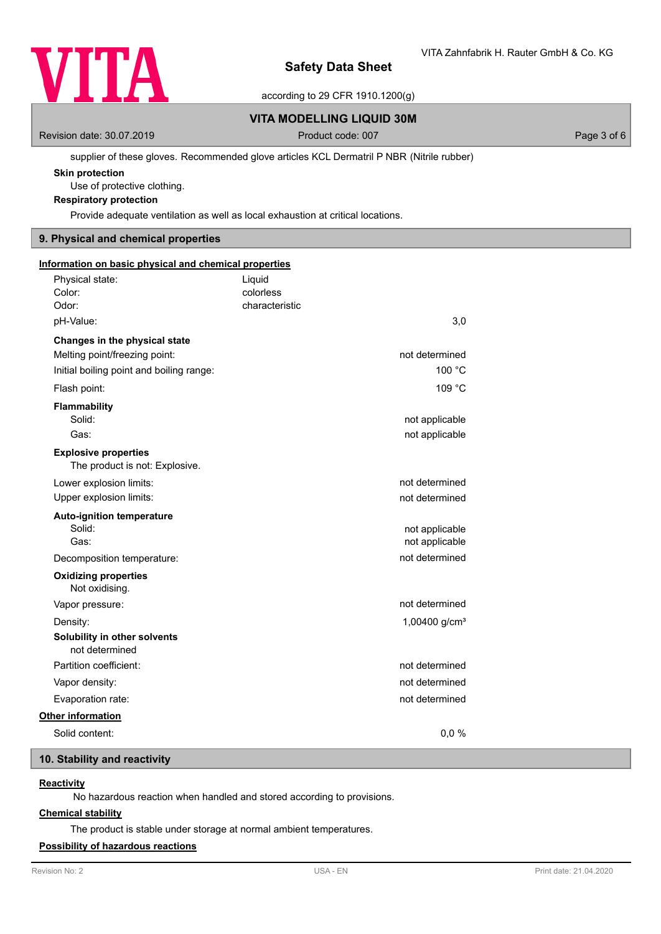

according to 29 CFR 1910.1200(g)

# **VITA MODELLING LIQUID 30M**

Revision date: 30.07.2019 **Product code: 007** Product code: 007 **Page 3 of 6** Page 3 of 6

### supplier of these gloves. Recommended glove articles KCL Dermatril P NBR (Nitrile rubber)

# **Skin protection**

Use of protective clothing.

# **Respiratory protection**

Provide adequate ventilation as well as local exhaustion at critical locations.

# **9. Physical and chemical properties**

| Information on basic physical and chemical properties         |                |                 |  |
|---------------------------------------------------------------|----------------|-----------------|--|
| Physical state:                                               | Liquid         |                 |  |
| Color:                                                        | colorless      |                 |  |
| Odor:                                                         | characteristic |                 |  |
| pH-Value:                                                     |                | 3,0             |  |
| Changes in the physical state                                 |                |                 |  |
| Melting point/freezing point:                                 |                | not determined  |  |
| Initial boiling point and boiling range:                      |                | 100 °C          |  |
| Flash point:                                                  |                | 109 °C          |  |
| Flammability                                                  |                |                 |  |
| Solid:                                                        |                | not applicable  |  |
| Gas:                                                          |                | not applicable  |  |
| <b>Explosive properties</b><br>The product is not: Explosive. |                |                 |  |
| Lower explosion limits:                                       |                | not determined  |  |
| Upper explosion limits:                                       |                | not determined  |  |
| <b>Auto-ignition temperature</b>                              |                |                 |  |
| Solid:                                                        |                | not applicable  |  |
| Gas:                                                          |                | not applicable  |  |
| Decomposition temperature:                                    |                | not determined  |  |
| <b>Oxidizing properties</b><br>Not oxidising.                 |                |                 |  |
| Vapor pressure:                                               |                | not determined  |  |
| Density:                                                      |                | 1,00400 $g/cm3$ |  |
| Solubility in other solvents<br>not determined                |                |                 |  |
| Partition coefficient:                                        |                | not determined  |  |
| Vapor density:                                                |                | not determined  |  |
| Evaporation rate:                                             |                | not determined  |  |
| Other information                                             |                |                 |  |
| Solid content:                                                |                | 0,0%            |  |

# **10. Stability and reactivity**

# **Reactivity**

No hazardous reaction when handled and stored according to provisions.

# **Chemical stability**

The product is stable under storage at normal ambient temperatures.

# **Possibility of hazardous reactions**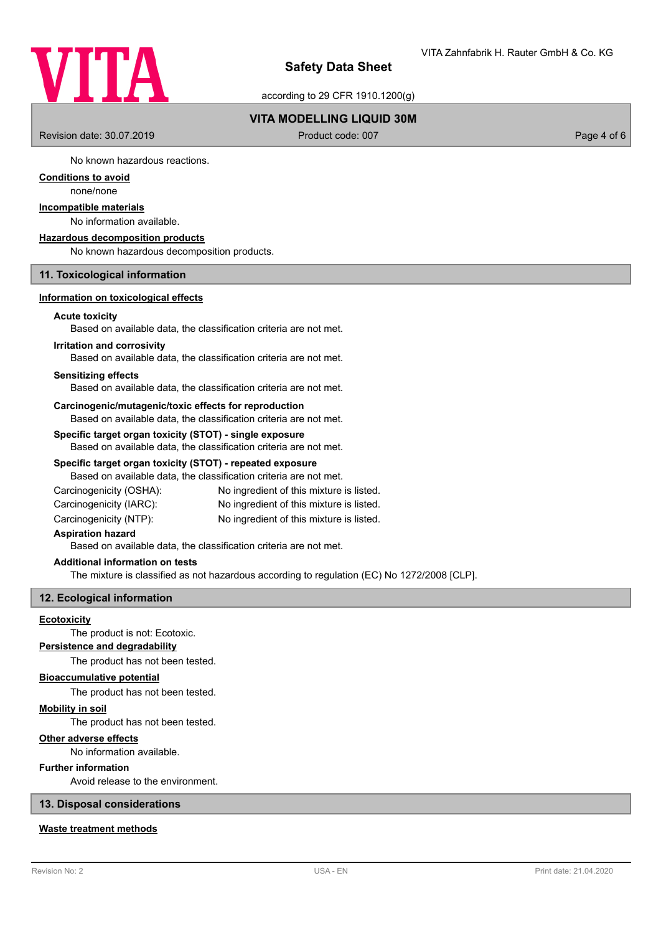

according to 29 CFR 1910.1200(g)

# **VITA MODELLING LIQUID 30M**

Revision date: 30.07.2019 **Product code: 007** Product code: 007 **Page 4 of 6** Page 4 of 6

No known hazardous reactions.

# **Conditions to avoid**

none/none

# **Incompatible materials**

No information available.

### **Hazardous decomposition products**

No known hazardous decomposition products.

# **11. Toxicological information**

### **Information on toxicological effects**

### **Acute toxicity**

Based on available data, the classification criteria are not met.

#### **Irritation and corrosivity**

Based on available data, the classification criteria are not met.

### **Sensitizing effects**

Based on available data, the classification criteria are not met.

#### **Carcinogenic/mutagenic/toxic effects for reproduction**

Based on available data, the classification criteria are not met.

# **Specific target organ toxicity (STOT) - single exposure**

Based on available data, the classification criteria are not met.

### **Specific target organ toxicity (STOT) - repeated exposure**

Based on available data, the classification criteria are not met.

| Carcinogenicity (OSHA): | No ingredient of this mixture is listed. |
|-------------------------|------------------------------------------|
| Carcinogenicity (IARC): | No ingredient of this mixture is listed. |
|                         | .                                        |

Carcinogenicity (NTP): No ingredient of this mixture is listed.

## **Aspiration hazard**

Based on available data, the classification criteria are not met.

### **Additional information on tests**

The mixture is classified as not hazardous according to regulation (EC) No 1272/2008 [CLP].

### **12. Ecological information**

### **Ecotoxicity**

The product is not: Ecotoxic.

# **Persistence and degradability**

The product has not been tested.

# **Bioaccumulative potential**

The product has not been tested.

# **Mobility in soil**

The product has not been tested.

# **Other adverse effects**

No information available.

### **Further information**

Avoid release to the environment.

### **13. Disposal considerations**

## **Waste treatment methods**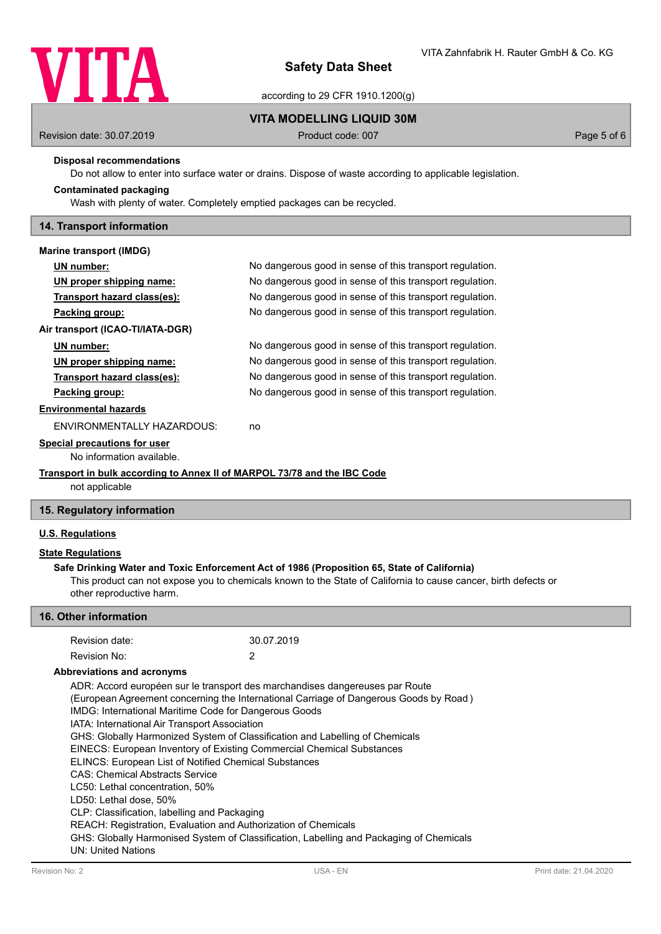

according to 29 CFR 1910.1200(g)

### **VITA MODELLING LIQUID 30M**

Revision date: 30.07.2019 **Product code: 007** Product code: 007 **Page 5 of 6** Page 5 of 6

### **Disposal recommendations**

Do not allow to enter into surface water or drains. Dispose of waste according to applicable legislation.

# Wash with plenty of water. Completely emptied packages can be recycled.

**Contaminated packaging**

# **14. Transport information**

| <b>Marine transport (IMDG)</b>                                           |                                                          |  |
|--------------------------------------------------------------------------|----------------------------------------------------------|--|
| UN number:                                                               | No dangerous good in sense of this transport regulation. |  |
| UN proper shipping name:                                                 | No dangerous good in sense of this transport regulation. |  |
| Transport hazard class(es):                                              | No dangerous good in sense of this transport regulation. |  |
| Packing group:                                                           | No dangerous good in sense of this transport regulation. |  |
| Air transport (ICAO-TI/IATA-DGR)                                         |                                                          |  |
| UN number:                                                               | No dangerous good in sense of this transport regulation. |  |
| UN proper shipping name:                                                 | No dangerous good in sense of this transport regulation. |  |
| Transport hazard class(es):                                              | No dangerous good in sense of this transport regulation. |  |
| Packing group:                                                           | No dangerous good in sense of this transport regulation. |  |
| <b>Environmental hazards</b>                                             |                                                          |  |
| ENVIRONMENTALLY HAZARDOUS:                                               | no                                                       |  |
| Special precautions for user                                             |                                                          |  |
| No information available.                                                |                                                          |  |
| Transport in bulk according to Annex II of MARPOL 73/78 and the IBC Code |                                                          |  |
|                                                                          |                                                          |  |

not applicable

# **15. Regulatory information**

# **U.S. Regulations**

### **State Regulations**

### **Safe Drinking Water and Toxic Enforcement Act of 1986 (Proposition 65, State of California)**

This product can not expose you to chemicals known to the State of California to cause cancer, birth defects or other reproductive harm.

### **16. Other information**

| Revision date:                                                                        |                                                                | 30.07.2019                                                                              |  |
|---------------------------------------------------------------------------------------|----------------------------------------------------------------|-----------------------------------------------------------------------------------------|--|
| Revision No:                                                                          |                                                                | 2                                                                                       |  |
|                                                                                       | Abbreviations and acronyms                                     |                                                                                         |  |
|                                                                                       |                                                                | ADR: Accord européen sur le transport des marchandises dangereuses par Route            |  |
| (European Agreement concerning the International Carriage of Dangerous Goods by Road) |                                                                |                                                                                         |  |
|                                                                                       | IMDG: International Maritime Code for Dangerous Goods          |                                                                                         |  |
| IATA: International Air Transport Association                                         |                                                                |                                                                                         |  |
| GHS: Globally Harmonized System of Classification and Labelling of Chemicals          |                                                                |                                                                                         |  |
| EINECS: European Inventory of Existing Commercial Chemical Substances                 |                                                                |                                                                                         |  |
|                                                                                       | <b>ELINCS: European List of Notified Chemical Substances</b>   |                                                                                         |  |
|                                                                                       | <b>CAS: Chemical Abstracts Service</b>                         |                                                                                         |  |
|                                                                                       | LC50: Lethal concentration, 50%                                |                                                                                         |  |
|                                                                                       | LD50: Lethal dose, 50%                                         |                                                                                         |  |
|                                                                                       | CLP: Classification, labelling and Packaging                   |                                                                                         |  |
|                                                                                       | REACH: Registration, Evaluation and Authorization of Chemicals |                                                                                         |  |
|                                                                                       |                                                                | GHS: Globally Harmonised System of Classification, Labelling and Packaging of Chemicals |  |
| <b>UN: United Nations</b>                                                             |                                                                |                                                                                         |  |